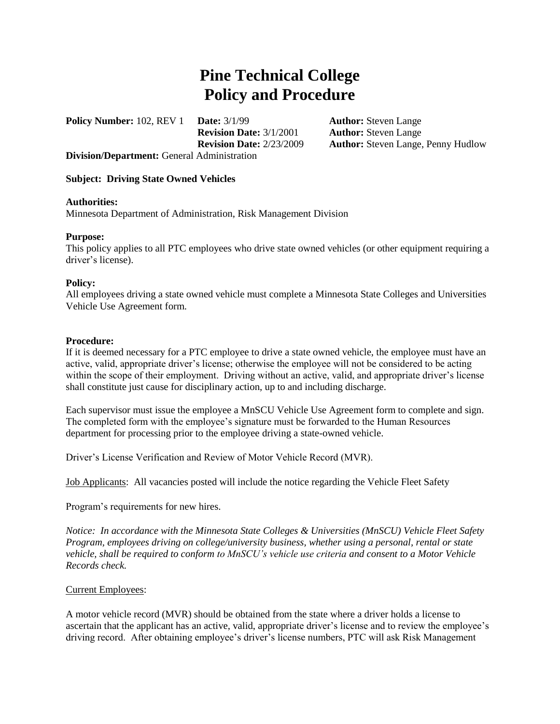# **Pine Technical College Policy and Procedure**

**Policy Number:** 102, REV 1 **Date:**  $3/1/99$  **Author:** Steven Lange **Revision Date:** 3/1/2001 **Author:** Steven Lange **Division/Department:** General Administration

**Revision Date:** 2/23/2009 **Author:** Steven Lange, Penny Hudlow

## **Subject: Driving State Owned Vehicles**

### **Authorities:**

Minnesota Department of Administration, Risk Management Division

## **Purpose:**

This policy applies to all PTC employees who drive state owned vehicles (or other equipment requiring a driver's license).

#### **Policy:**

All employees driving a state owned vehicle must complete a Minnesota State Colleges and Universities Vehicle Use Agreement form.

#### **Procedure:**

If it is deemed necessary for a PTC employee to drive a state owned vehicle, the employee must have an active, valid, appropriate driver's license; otherwise the employee will not be considered to be acting within the scope of their employment. Driving without an active, valid, and appropriate driver's license shall constitute just cause for disciplinary action, up to and including discharge.

Each supervisor must issue the employee a MnSCU Vehicle Use Agreement form to complete and sign. The completed form with the employee's signature must be forwarded to the Human Resources department for processing prior to the employee driving a state-owned vehicle.

Driver's License Verification and Review of Motor Vehicle Record (MVR).

Job Applicants: All vacancies posted will include the notice regarding the Vehicle Fleet Safety

Program's requirements for new hires.

*Notice: In accordance with the Minnesota State Colleges & Universities (MnSCU) Vehicle Fleet Safety Program, employees driving on college/university business, whether using a personal, rental or state vehicle, shall be required to conform to MnSCU's vehicle use criteria and consent to a Motor Vehicle Records check.* 

#### Current Employees:

A motor vehicle record (MVR) should be obtained from the state where a driver holds a license to ascertain that the applicant has an active, valid, appropriate driver's license and to review the employee's driving record. After obtaining employee's driver's license numbers, PTC will ask Risk Management